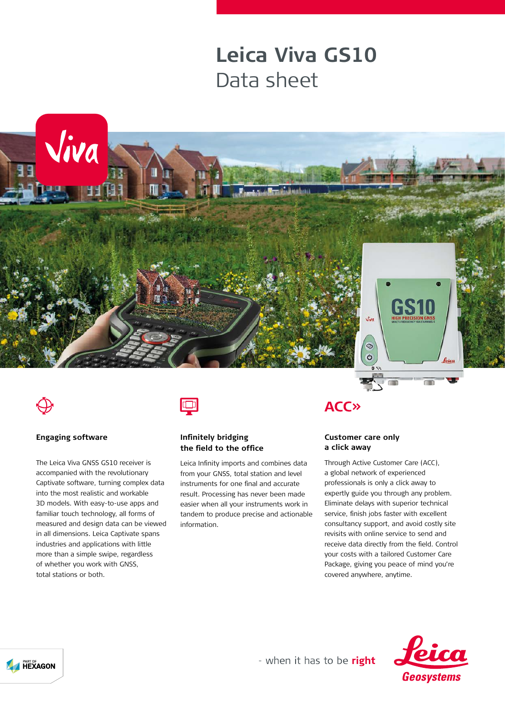# **Leica Viva GS10** Data sheet





#### **Engaging software**

The Leica Viva GNSS GS10 receiver is accompanied with the revolutionary Captivate software, turning complex data into the most realistic and workable 3D models. With easy-to-use apps and familiar touch technology, all forms of measured and design data can be viewed in all dimensions. Leica Captivate spans industries and applications with little more than a simple swipe, regardless of whether you work with GNSS, total stations or both.



#### **Infinitely bridging the field to the office**

Leica Infinity imports and combines data from your GNSS, total station and level instruments for one final and accurate result. Processing has never been made easier when all your instruments work in tandem to produce precise and actionable information.

### **ACC**<sub>></sub>

#### **Customer care only a click away**

Through Active Customer Care (ACC), a global network of experienced professionals is only a click away to expertly guide you through any problem. Eliminate delays with superior technical service, finish jobs faster with excellent consultancy support, and avoid costly site revisits with online service to send and receive data directly from the field. Control your costs with a tailored Customer Care Package, giving you peace of mind you're covered anywhere, anytime.





- when it has to be right